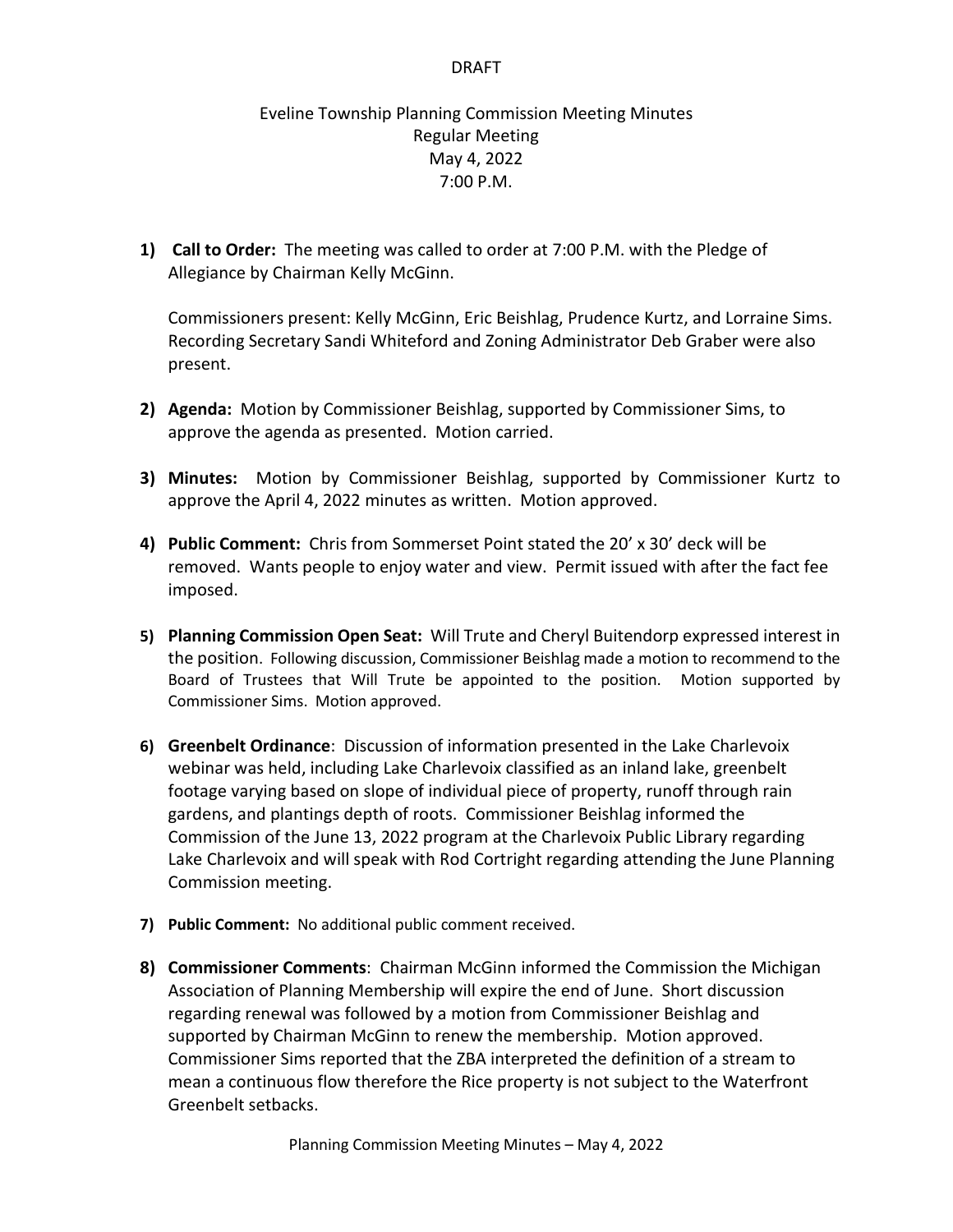## DRAFT

## Eveline Township Planning Commission Meeting Minutes Regular Meeting May 4, 2022 7:00 P.M.

**1) Call to Order:** The meeting was called to order at 7:00 P.M. with the Pledge of Allegiance by Chairman Kelly McGinn.

Commissioners present: Kelly McGinn, Eric Beishlag, Prudence Kurtz, and Lorraine Sims. Recording Secretary Sandi Whiteford and Zoning Administrator Deb Graber were also present.

- **2) Agenda:** Motion by Commissioner Beishlag, supported by Commissioner Sims, to approve the agenda as presented. Motion carried.
- **3) Minutes:** Motion by Commissioner Beishlag, supported by Commissioner Kurtz to approve the April 4, 2022 minutes as written.Motion approved.
- **4) Public Comment:** Chris from Sommerset Point stated the 20' x 30' deck will be removed. Wants people to enjoy water and view. Permit issued with after the fact fee imposed.
- **5) Planning Commission Open Seat:** Will Trute and Cheryl Buitendorp expressed interest in the position. Following discussion, Commissioner Beishlag made a motion to recommend to the Board of Trustees that Will Trute be appointed to the position. Motion supported by Commissioner Sims. Motion approved.
- **6) Greenbelt Ordinance**: Discussion of information presented in the Lake Charlevoix webinar was held, including Lake Charlevoix classified as an inland lake, greenbelt footage varying based on slope of individual piece of property, runoff through rain gardens, and plantings depth of roots. Commissioner Beishlag informed the Commission of the June 13, 2022 program at the Charlevoix Public Library regarding Lake Charlevoix and will speak with Rod Cortright regarding attending the June Planning Commission meeting.
- **7) Public Comment:** No additional public comment received.
- **8) Commissioner Comments**: Chairman McGinn informed the Commission the Michigan Association of Planning Membership will expire the end of June. Short discussion regarding renewal was followed by a motion from Commissioner Beishlag and supported by Chairman McGinn to renew the membership. Motion approved. Commissioner Sims reported that the ZBA interpreted the definition of a stream to mean a continuous flow therefore the Rice property is not subject to the Waterfront Greenbelt setbacks.